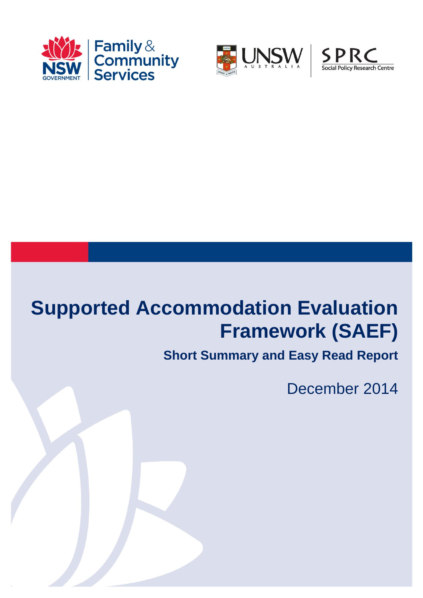





# **Supported Accommodation Evaluation Framework (SAEF)**

**Short Summary and Easy Read Report**

December 2014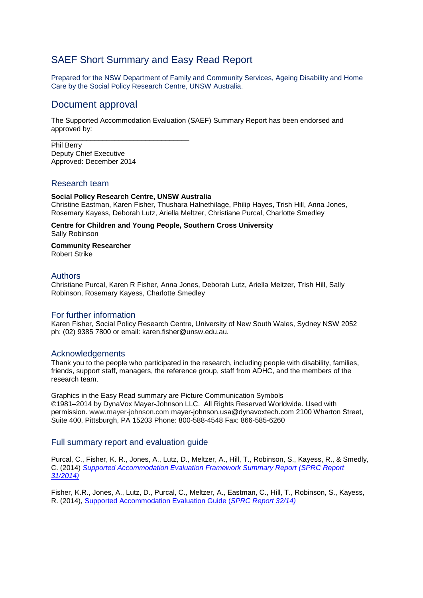### SAEF Short Summary and Easy Read Report

Prepared for the NSW Department of Family and Community Services, Ageing Disability and Home Care by the Social Policy Research Centre, UNSW Australia.

### Document approval

The Supported Accommodation Evaluation (SAEF) Summary Report has been endorsed and approved by:

Phil Berry Deputy Chief Executive Approved: December 2014

#### Research team

#### **Social Policy Research Centre, UNSW Australia**

\_\_\_\_\_\_\_\_\_\_\_\_\_\_\_\_\_\_\_\_\_\_\_\_\_\_\_\_\_\_\_\_\_\_\_

Christine Eastman, Karen Fisher, Thushara Halnethilage, Philip Hayes, Trish Hill, Anna Jones, Rosemary Kayess, Deborah Lutz, Ariella Meltzer, Christiane Purcal, Charlotte Smedley

**Centre for Children and Young People, Southern Cross University**  Sally Robinson

**Community Researcher** Robert Strike

#### Authors

Christiane Purcal, Karen R Fisher, Anna Jones, Deborah Lutz, Ariella Meltzer, Trish Hill, Sally Robinson, Rosemary Kayess, Charlotte Smedley

#### For further information

Karen Fisher, Social Policy Research Centre, University of New South Wales, Sydney NSW 2052 ph: (02) 9385 7800 or email: karen.fisher@unsw.edu.au.

#### Acknowledgements

Thank you to the people who participated in the research, including people with disability, families, friends, support staff, managers, the reference group, staff from ADHC, and the members of the research team.

Graphics in the Easy Read summary are Picture Communication Symbols ©1981–2014 by DynaVox Mayer-Johnson LLC. All Rights Reserved Worldwide. Used with permission. www.mayer-johnson.com [mayer-johnson.usa@dynavoxtech.com](mailto:mayer-johnson.usa@dynavoxtech.com) 2100 Wharton Street, Suite 400, Pittsburgh, PA 15203 Phone: 800-588-4548 Fax: 866-585-6260

#### Full summary report and evaluation guide

Purcal, C., Fisher, K. R., Jones, A., Lutz, D., Meltzer, A., Hill, T., Robinson, S., Kayess, R., & Smedly, C. (2014) *[Supported Accommodation Evaluation Framework Summary Report](http://www.adhc.nsw.gov.au/__data/assets/file/0017/311246/Supported-Accommodation-Evaluation-Framework-Summary-Report.pdf) (SPRC Report [31/2014\)](http://www.adhc.nsw.gov.au/__data/assets/file/0017/311246/Supported-Accommodation-Evaluation-Framework-Summary-Report.pdf)*

Fisher, K.R., Jones, A., Lutz, D., Purcal, C., Meltzer, A., Eastman, C., Hill, T., Robinson, S., Kayess, R. (2014), Supported [Accommodation Evaluation Guide](http://www.adhc.nsw.gov.au/__data/assets/file/0016/311245/Supported-Accommodation-Evaluation-Framework-Guide-for-service-providers.pdf) (*SPRC Report 32/14)*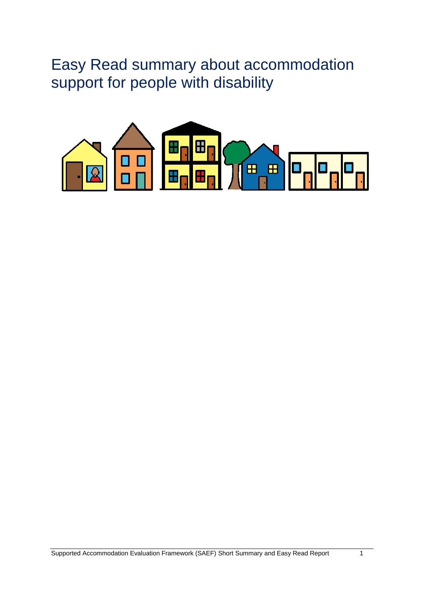Easy Read summary about accommodation support for people with disability

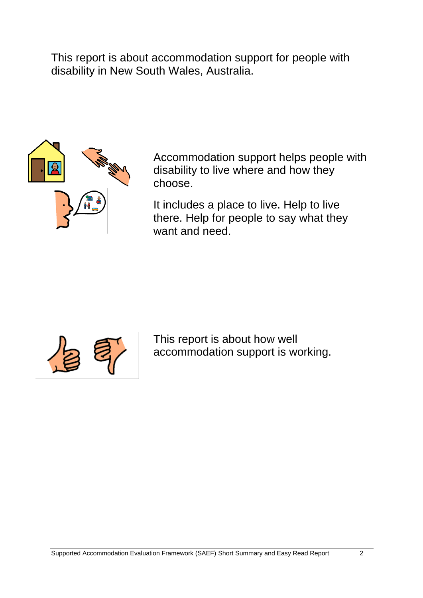This report is about accommodation support for people with disability in New South Wales, Australia.



Accommodation support helps people with disability to live where and how they choose.

It includes a place to live. Help to live there. Help for people to say what they want and need.



This report is about how well accommodation support is working.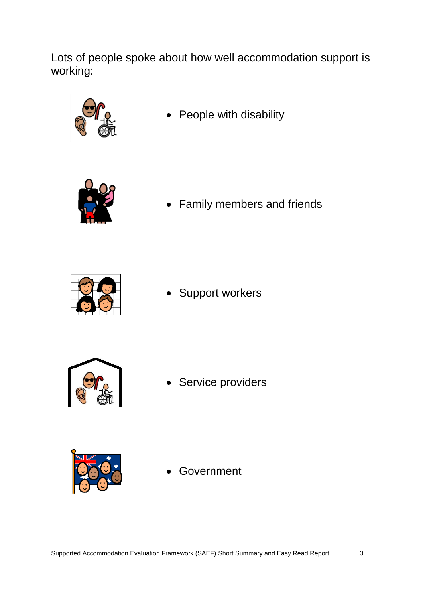Lots of people spoke about how well accommodation support is working:



• People with disability



Family members and friends



Support workers



Service providers



Government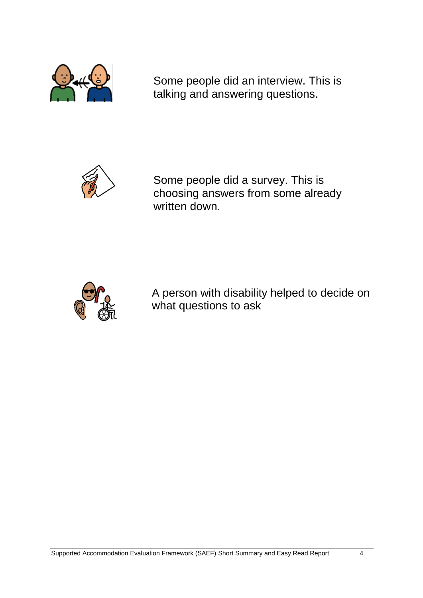

Some people did an interview. This is talking and answering questions.



Some people did a survey. This is choosing answers from some already written down.



A person with disability helped to decide on what questions to ask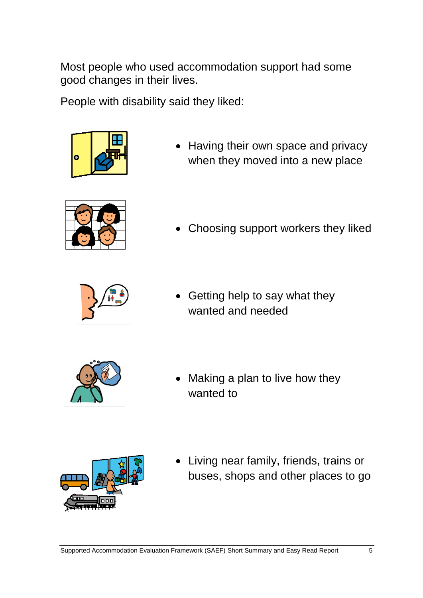Most people who used accommodation support had some good changes in their lives.

People with disability said they liked:



• Having their own space and privacy when they moved into a new place



• Choosing support workers they liked



 Getting help to say what they wanted and needed



• Making a plan to live how they wanted to



 Living near family, friends, trains or buses, shops and other places to go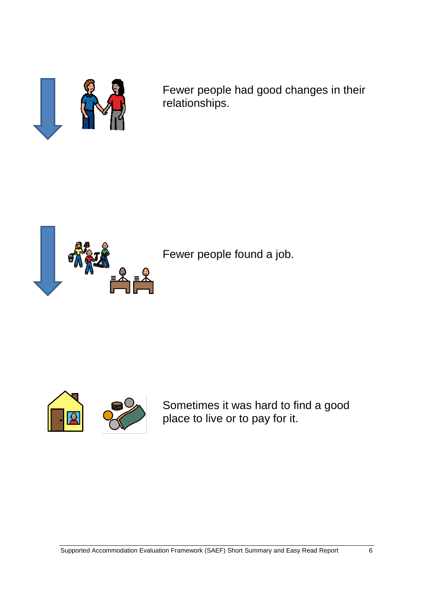

Fewer people had good changes in their relationships.





Sometimes it was hard to find a good place to live or to pay for it.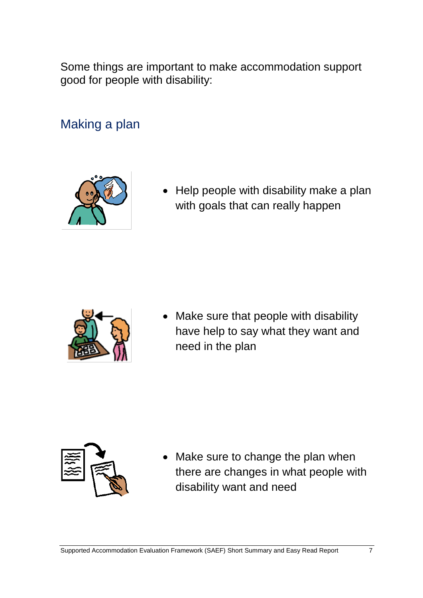Some things are important to make accommodation support good for people with disability:

Making a plan



• Help people with disability make a plan with goals that can really happen



• Make sure that people with disability have help to say what they want and need in the plan



• Make sure to change the plan when there are changes in what people with disability want and need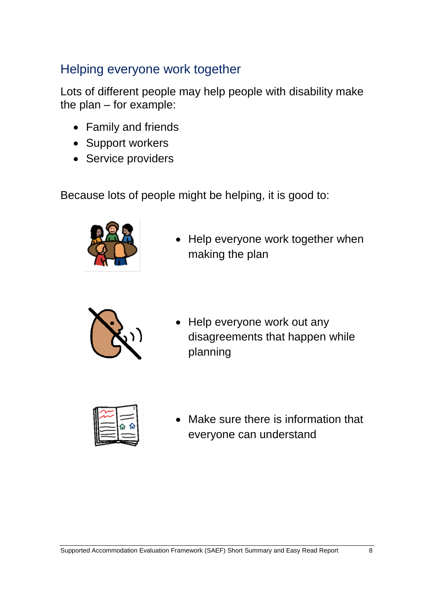# Helping everyone work together

Lots of different people may help people with disability make the plan – for example:

- Family and friends
- Support workers
- Service providers

Because lots of people might be helping, it is good to:



• Help everyone work together when making the plan



• Help everyone work out any disagreements that happen while planning



• Make sure there is information that everyone can understand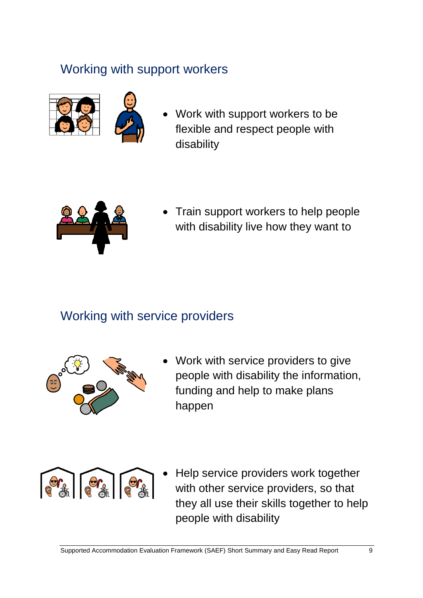# Working with support workers



 Work with support workers to be flexible and respect people with disability



 Train support workers to help people with disability live how they want to

# Working with service providers



 Work with service providers to give people with disability the information, funding and help to make plans happen

• Help service providers work together with other service providers, so that they all use their skills together to help people with disability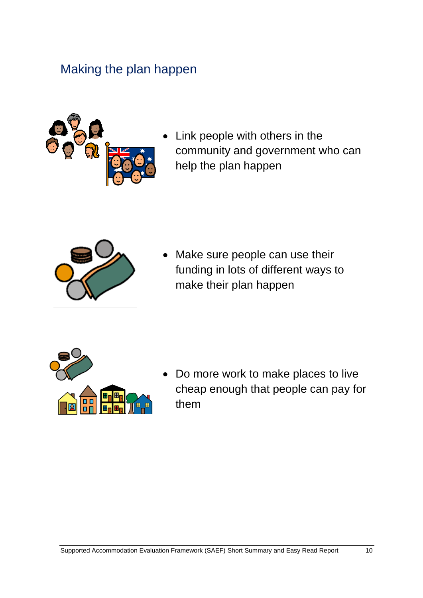# Making the plan happen



 Link people with others in the community and government who can help the plan happen



• Make sure people can use their funding in lots of different ways to make their plan happen



 Do more work to make places to live cheap enough that people can pay for them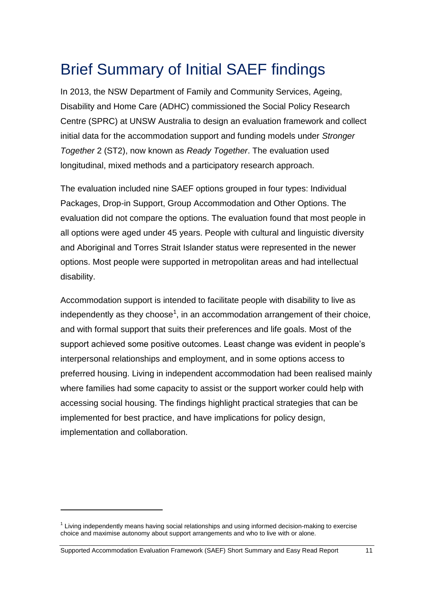# Brief Summary of Initial SAEF findings

In 2013, the NSW Department of Family and Community Services, Ageing, Disability and Home Care (ADHC) commissioned the Social Policy Research Centre (SPRC) at UNSW Australia to design an evaluation framework and collect initial data for the accommodation support and funding models under *Stronger Together* 2 (ST2), now known as *Ready Together*. The evaluation used longitudinal, mixed methods and a participatory research approach.

The evaluation included nine SAEF options grouped in four types: Individual Packages, Drop-in Support, Group Accommodation and Other Options. The evaluation did not compare the options. The evaluation found that most people in all options were aged under 45 years. People with cultural and linguistic diversity and Aboriginal and Torres Strait Islander status were represented in the newer options. Most people were supported in metropolitan areas and had intellectual disability.

Accommodation support is intended to facilitate people with disability to live as independently as they choose<sup>1</sup>, in an accommodation arrangement of their choice, and with formal support that suits their preferences and life goals. Most of the support achieved some positive outcomes. Least change was evident in people's interpersonal relationships and employment, and in some options access to preferred housing. Living in independent accommodation had been realised mainly where families had some capacity to assist or the support worker could help with accessing social housing. The findings highlight practical strategies that can be implemented for best practice, and have implications for policy design, implementation and collaboration.

1

 $1$  Living independently means having social relationships and using informed decision-making to exercise choice and maximise autonomy about support arrangements and who to live with or alone.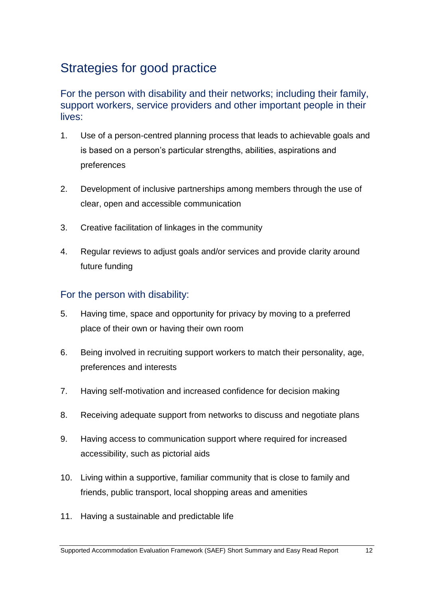# Strategies for good practice

For the person with disability and their networks; including their family, support workers, service providers and other important people in their lives:

- 1. Use of a person-centred planning process that leads to achievable goals and is based on a person's particular strengths, abilities, aspirations and preferences
- 2. Development of inclusive partnerships among members through the use of clear, open and accessible communication
- 3. Creative facilitation of linkages in the community
- 4. Regular reviews to adjust goals and/or services and provide clarity around future funding

### For the person with disability:

- 5. Having time, space and opportunity for privacy by moving to a preferred place of their own or having their own room
- 6. Being involved in recruiting support workers to match their personality, age, preferences and interests
- 7. Having self-motivation and increased confidence for decision making
- 8. Receiving adequate support from networks to discuss and negotiate plans
- 9. Having access to communication support where required for increased accessibility, such as pictorial aids
- 10. Living within a supportive, familiar community that is close to family and friends, public transport, local shopping areas and amenities
- 11. Having a sustainable and predictable life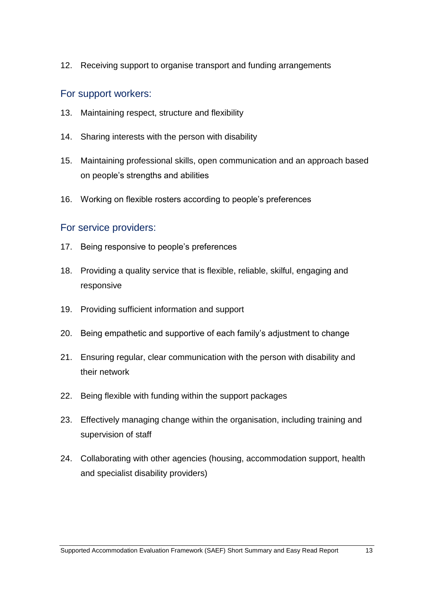12. Receiving support to organise transport and funding arrangements

### For support workers:

- 13. Maintaining respect, structure and flexibility
- 14. Sharing interests with the person with disability
- 15. Maintaining professional skills, open communication and an approach based on people's strengths and abilities
- 16. Working on flexible rosters according to people's preferences

### For service providers:

- 17. Being responsive to people's preferences
- 18. Providing a quality service that is flexible, reliable, skilful, engaging and responsive
- 19. Providing sufficient information and support
- 20. Being empathetic and supportive of each family's adjustment to change
- 21. Ensuring regular, clear communication with the person with disability and their network
- 22. Being flexible with funding within the support packages
- 23. Effectively managing change within the organisation, including training and supervision of staff
- 24. Collaborating with other agencies (housing, accommodation support, health and specialist disability providers)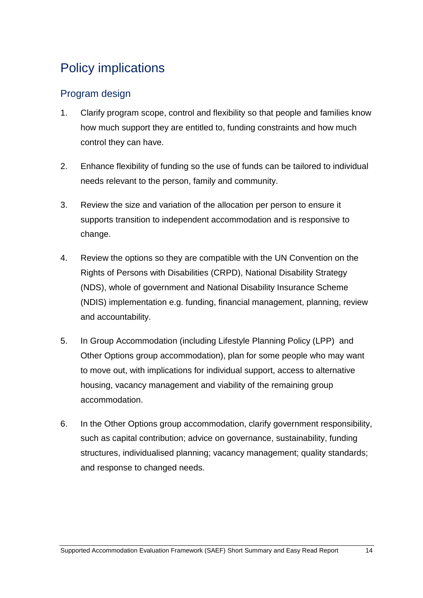# Policy implications

## Program design

- 1. Clarify program scope, control and flexibility so that people and families know how much support they are entitled to, funding constraints and how much control they can have.
- 2. Enhance flexibility of funding so the use of funds can be tailored to individual needs relevant to the person, family and community.
- 3. Review the size and variation of the allocation per person to ensure it supports transition to independent accommodation and is responsive to change.
- 4. Review the options so they are compatible with the UN Convention on the Rights of Persons with Disabilities (CRPD), National Disability Strategy (NDS), whole of government and National Disability Insurance Scheme (NDIS) implementation e.g. funding, financial management, planning, review and accountability.
- 5. In Group Accommodation (including Lifestyle Planning Policy (LPP) and Other Options group accommodation), plan for some people who may want to move out, with implications for individual support, access to alternative housing, vacancy management and viability of the remaining group accommodation.
- 6. In the Other Options group accommodation, clarify government responsibility, such as capital contribution; advice on governance, sustainability, funding structures, individualised planning; vacancy management; quality standards; and response to changed needs.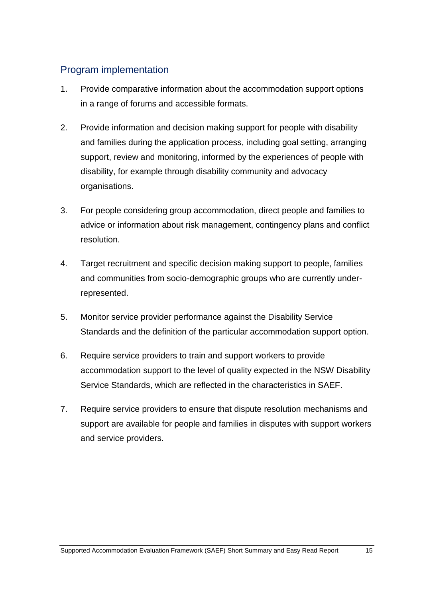## Program implementation

- 1. Provide comparative information about the accommodation support options in a range of forums and accessible formats.
- 2. Provide information and decision making support for people with disability and families during the application process, including goal setting, arranging support, review and monitoring, informed by the experiences of people with disability, for example through disability community and advocacy organisations.
- 3. For people considering group accommodation, direct people and families to advice or information about risk management, contingency plans and conflict resolution.
- 4. Target recruitment and specific decision making support to people, families and communities from socio-demographic groups who are currently underrepresented.
- 5. Monitor service provider performance against the Disability Service Standards and the definition of the particular accommodation support option.
- 6. Require service providers to train and support workers to provide accommodation support to the level of quality expected in the NSW Disability Service Standards, which are reflected in the characteristics in SAEF.
- 7. Require service providers to ensure that dispute resolution mechanisms and support are available for people and families in disputes with support workers and service providers.